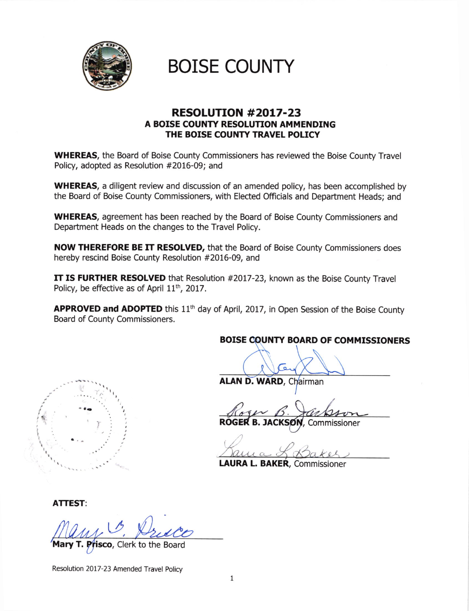

# BOISE COUNTY

# RESOLUTTON #2017-23 A BOISE COUNTY RESOLUTION AMMENDING THE BOISE COUNTY TRAVEL POLICY

WHEREAS, the Board of Boise County Commissioners has reviewed the Boise County Travel Policy, adopted as Resolution #2016-09; and

WHEREAS, a diligent review and discussion of an amended policy, has been accomplished by the Board of Boise County Commissioners, with Elected Officials and Department Heads; and

WHEREAS, agreement has been reached by the Board of Boise County Commissioners and Department Heads on the changes to the Travel Poliry.

NOW THEREFORE BE IT RESOLVED, that the Board of Boise County Commissioners does hereby rescind Boise County Resolution #2016-09, and

IT IS FURTHER RESOLVED that Resolution #2017-23, known as the Boise County Travel Policy, be effective as of April  $11<sup>th</sup>$ , 2017.

APPROVED and ADOPTED this  $11<sup>th</sup>$  day of April, 2017, in Open Session of the Boise County Board of County Commissioners.

#### BOISE COUNTY BOARD OF COMMISSIONERS

I

# ALAN D. WARD, Chairman

ROGER B. JACKSON, Commissioner

 $\gamma$ 

LAURA L. BAKER, Commissioner

ATTEST:

 $\mathcal{P}$ 

**Prisco**, Clerk to the Board

Resolution 2017-23 Amended Travel policy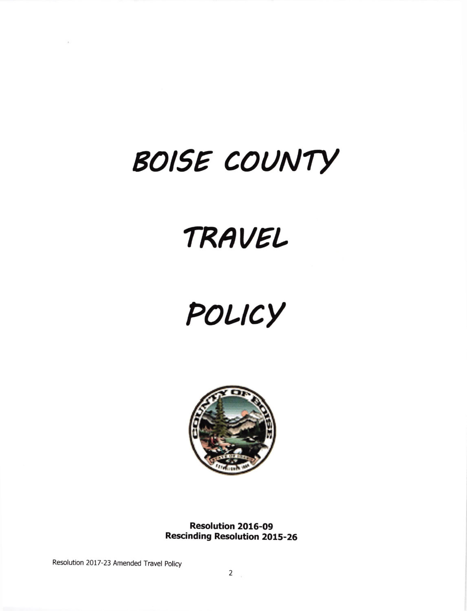# BOISE COUNTY

# TRAVEL

# POLICY



Resolution 2016-09 **Rescinding Resolution 2015-26** 

Resolution 2017-23 Amended Travel Policy

 $\sim 200$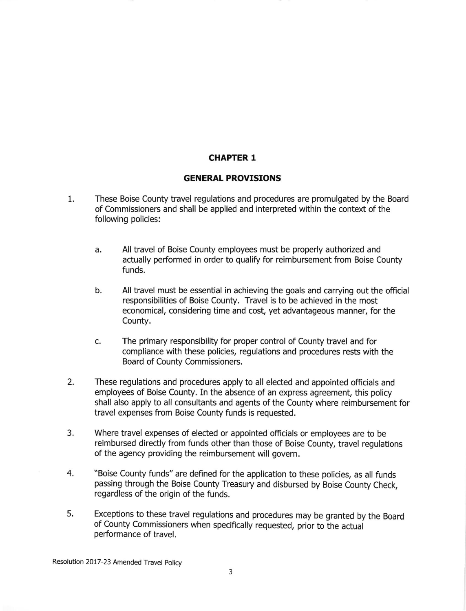# CHAPTER 1

## GENERAL PROVISIONS

- 1 These Boise County travel regulations and procedures are promulgated by the Board of Commissioners and shall be applied and interpreted within the context of the following policies:
	- All travel of Boise County employees must be properly authorized and actually performed in order to qualify for reimbursement from Boise County funds. a
	- All travel must be essential in achieving the goals and carrying out the official responsibilities of Boise County. Travel is to be achieved in the most economical, considering time and cost, yet advantageous manner, for the County. b.
	- The primary responsibility for proper control of County travel and for compliance with these policies, regulations and procedures rests with the Board of County Commissioners. c.
- These regulations and procedures apply to all elected and appointed officials and employees of Boise County. In the absence of an express agreement, this policy shall also apply to all consultants and agents of the County where reimbursement for travel expenses from Boise County funds is requested. 2.
- 3. Where travel expenses of elected or appointed officials or employees are to be reimbursed directly from funds other than those of Boise County, travel regulations of the agency providing the reimbursement will govern.
- 4 "Boise County funds" are defined for the application to these policies, as all funds passing through the Boise County Treasury and disbursed by Boise County Check, regardless of the origin of the funds.
- 5 Exceptions to these travel regulations and procedures may be granted by the Board of County Commissioners when specifically requested, prior to the actuai peformance of travel.

Resolution 2017-23 Amended Travel policy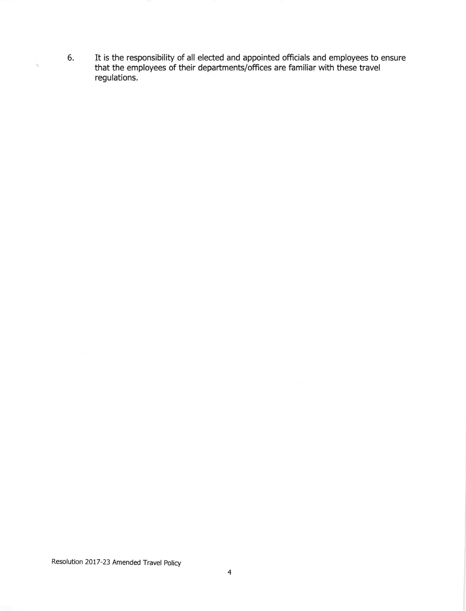It is the responsibility of all elected and appointed officials and employees to ensure that the employees of their departments/offices are familiar with these travel regulations. 6

Resolution 2017-23 Amended Travel policy

 $\checkmark$